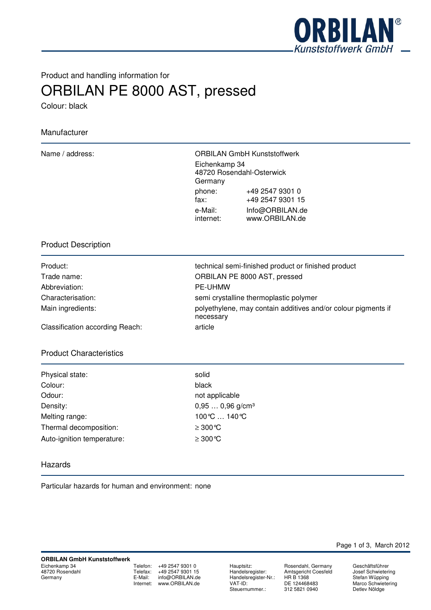

# Product and handling information for ORBILAN PE 8000 AST, pressed

Colour: black

# Manufacturer

Name / address: ORBILAN GmbH Kunststoffwerk Eichenkamp 34 48720 Rosendahl-Osterwick Germany phone: +49 2547 9301 0 fax: +49 2547 9301 15 e-Mail: Info@ORBILAN.de internet: www.ORBILAN.de

## Product Description

| Product:          |  |
|-------------------|--|
| Trade name:       |  |
| Abbreviation:     |  |
| Characterisation: |  |
| Main ingredients: |  |
|                   |  |

technical semi-finished product or finished product ORBILAN PE 8000 AST, pressed PE-UHMW semi crystalline thermoplastic polymer polyethylene, may contain additives and/or colour pigments if necessary

Classification according Reach: article

## Product Characteristics

| Physical state:            | solid      |
|----------------------------|------------|
| Colour:                    | black      |
| Odour:                     | not ap     |
| Density:                   | $0,95$ .   |
| Melting range:             | 100 °C     |
| Thermal decomposition:     | $\geq 300$ |
| Auto-ignition temperature: | $\geq 300$ |

not applicable  $0,95...$  0,96 g/cm<sup>3</sup> 100℃ ... 140℃  $≥ 300 °C$  $≥ 300 °C$ 

## Hazards

Particular hazards for human and environment: none

Telefon: +49 2547 9301 0<br>Telefax: +49 2547 9301 15 Telefax: +49 2547 9301 15<br>E-Mail: info@ORBILAN.de info@ORBILAN.de Internet: www.ORBILAN.de

Hauptsitz: **Rosendahl, Germany**<br>Handelsregister: Amtsgericht Coesfeld Handelsregister-Nr.:<br>VAT-ID: Steuernummer.:

Amtsgericht Coesfeld<br>HR B 1368 DE 124468483<br>312 5821 0940

Page 1 of 3, March 2012

Geschäftsführer Josef Schwietering Stefan Wüpping Marco Schwietering Detlev Nöldge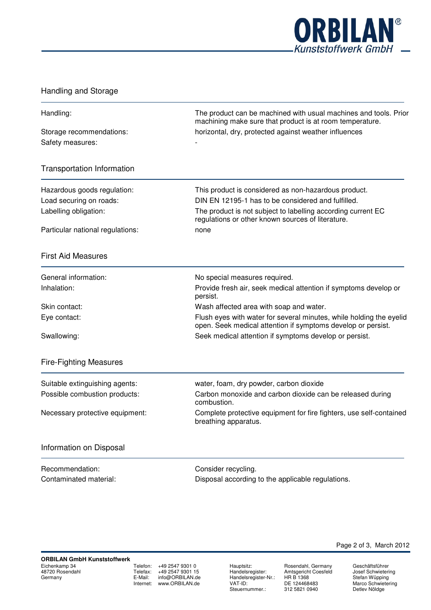

# Handling and Storage

| Handling:                                                                                                                      | The product can be machined with usual machines and tools. Prior<br>machining make sure that product is at room temperature.<br>horizontal, dry, protected against weather influences |  |
|--------------------------------------------------------------------------------------------------------------------------------|---------------------------------------------------------------------------------------------------------------------------------------------------------------------------------------|--|
| Storage recommendations:<br>Safety measures:                                                                                   |                                                                                                                                                                                       |  |
| <b>Transportation Information</b>                                                                                              |                                                                                                                                                                                       |  |
| Hazardous goods regulation:                                                                                                    | This product is considered as non-hazardous product.                                                                                                                                  |  |
| Load securing on roads:<br>Labelling obligation:                                                                               | DIN EN 12195-1 has to be considered and fulfilled.<br>The product is not subject to labelling according current EC<br>regulations or other known sources of literature.               |  |
| Particular national regulations:                                                                                               | none                                                                                                                                                                                  |  |
| <b>First Aid Measures</b>                                                                                                      |                                                                                                                                                                                       |  |
| General information:                                                                                                           | No special measures required.                                                                                                                                                         |  |
| Inhalation:                                                                                                                    | Provide fresh air, seek medical attention if symptoms develop or<br>persist.                                                                                                          |  |
| Skin contact:                                                                                                                  | Wash affected area with soap and water.                                                                                                                                               |  |
| Eye contact:                                                                                                                   | Flush eyes with water for several minutes, while holding the eyelid<br>open. Seek medical attention if symptoms develop or persist.                                                   |  |
| Swallowing:                                                                                                                    | Seek medical attention if symptoms develop or persist.                                                                                                                                |  |
| <b>Fire-Fighting Measures</b>                                                                                                  |                                                                                                                                                                                       |  |
| Suitable extinguishing agents:                                                                                                 | water, foam, dry powder, carbon dioxide                                                                                                                                               |  |
| Possible combustion products:                                                                                                  | Carbon monoxide and carbon dioxide can be released during<br>combustion.                                                                                                              |  |
| Complete protective equipment for fire fighters, use self-contained<br>Necessary protective equipment:<br>breathing apparatus. |                                                                                                                                                                                       |  |
| Information on Disposal                                                                                                        |                                                                                                                                                                                       |  |
| Recommendation:                                                                                                                | Consider recycling.                                                                                                                                                                   |  |
| Contaminated material:                                                                                                         | Disposal according to the applicable regulations.                                                                                                                                     |  |
|                                                                                                                                |                                                                                                                                                                                       |  |

Telefon: +49 2547 9301 0<br>Telefax: +49 2547 9301 15  $+49\,2547\,9301\,15$ E-Mail: info@ORBILAN.de Internet: www.ORBILAN.de

Hauptsitz: Rosendahl, Germany<br>Handelsregister: Amtsgericht Coesfeld Handelsregister-Nr.:<br>VAT-ID: Steuernummer.:

Hosendam, Germany<br>Amtsgericht Coesfeld<br>HR B 1368 DE 124468483<br>312 5821 0940

Geschäftsführer Josef Schwietering Stefan Wüpping Marco Schwietering Detlev Nöldge

Page 2 of 3, March 2012